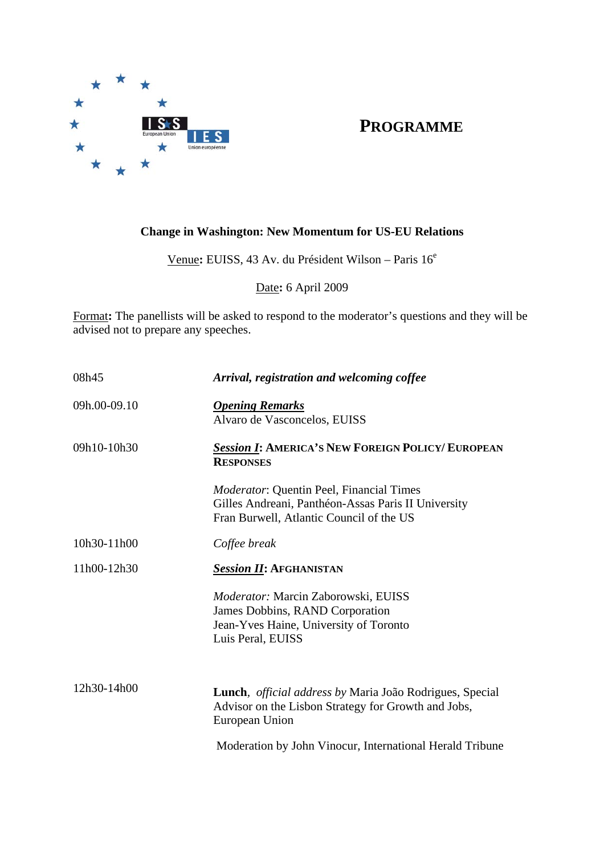

## **PROGRAMME**

## **Change in Washington: New Momentum for US-EU Relations**

Venue**:** EUISS, 43 Av. du Président Wilson – Paris 16<sup>e</sup>

Date**:** 6 April 2009

Format**:** The panellists will be asked to respond to the moderator's questions and they will be advised not to prepare any speeches.

| 08h45        | Arrival, registration and welcoming coffee                                                                                                         |
|--------------|----------------------------------------------------------------------------------------------------------------------------------------------------|
| 09h.00-09.10 | <b>Opening Remarks</b><br>Alvaro de Vasconcelos, EUISS                                                                                             |
| 09h10-10h30  | <b>Session 1: AMERICA'S NEW FOREIGN POLICY/ EUROPEAN</b><br><b>RESPONSES</b>                                                                       |
|              | <i>Moderator:</i> Quentin Peel, Financial Times<br>Gilles Andreani, Panthéon-Assas Paris II University<br>Fran Burwell, Atlantic Council of the US |
| 10h30-11h00  | Coffee break                                                                                                                                       |
| 11h00-12h30  | <b>Session II: AFGHANISTAN</b>                                                                                                                     |
|              | Moderator: Marcin Zaborowski, EUISS<br>James Dobbins, RAND Corporation<br>Jean-Yves Haine, University of Toronto<br>Luis Peral, EUISS              |
| 12h30-14h00  | Lunch, <i>official address by</i> Maria João Rodrigues, Special<br>Advisor on the Lisbon Strategy for Growth and Jobs,<br>European Union           |
|              | Moderation by John Vinocur, International Herald Tribune                                                                                           |